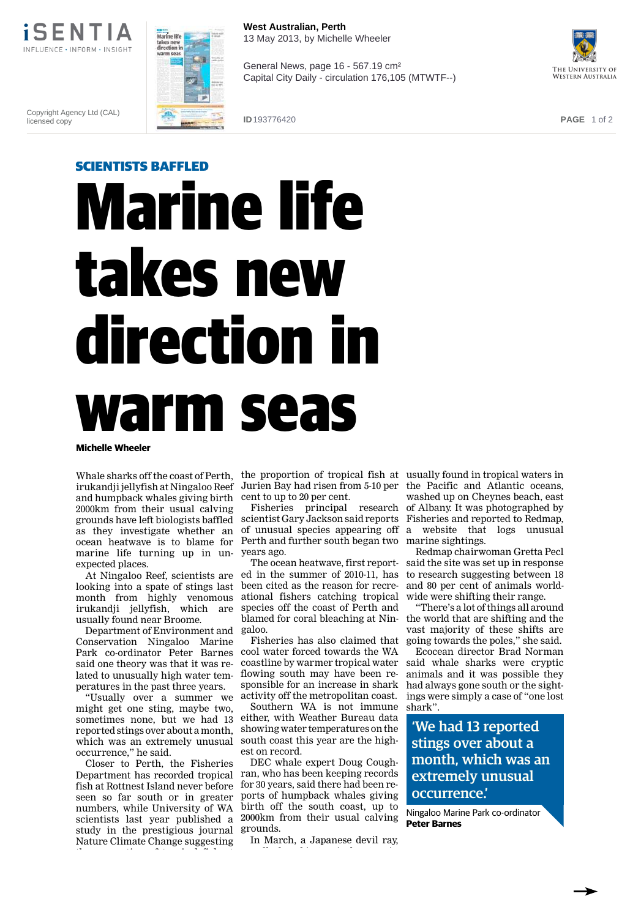

**West Australian, Perth** 13 May 2013, by Michelle Wheeler

General News, page 16 - 567.19 cm² Capital City Daily - circulation 176,105 (MTWTF--)



Copyright Agency Ltd (CAL) licensed copy



**ID** 193776420 **PAGE** 1 of 2

## Marine life Marine lif takes new direction in warm seas SCIENTISTS BAFFLED

## **Michelle Wheeler**

and humpback whales giving birth cent to up to 20 per cent. Whale sharks off the coast of Perth, 2000km from their usual calving grounds have left biologists baffled as they investigate whether an marine life turning up in unexpected places.

At Ningaloo Reef, scientists are looking into a spate of stings last month from highly venomous irukandji jellyfish, which are usually found near Broome.

Department of Environment and galoo. Conservation Ningaloo Marine Park co-ordinator Peter Barnes said one theory was that it was related to unusually high water temperatures in the past three years.

"Usually over a summer we might get one sting, maybe two, sometimes none, but we had 13 reported stings over about a month, which was an extremely unusual occurrence," he said.

Closer to Perth, the Fisheries Department has recorded tropical ran, who has been keeping records fish at Rottnest Island never before seen so far south or in greater numbers, while University of WA scientists last year published a study in the prestigious journal grounds. Nature Climate Change suggesting

the proportion of tropical fish at usually found in tropical waters in irukandji jellyfish at Ningaloo Reef Jurien Bay had risen from 5-10 per the Pacific and Atlantic oceans,

scientist Gary Jackson said reports Fisheries and reported to Redmap, of unusual species appearing off ocean heatwave is to blame for Perth and further south began two marine sightings. years ago.

The ocean heatwave, first reported in the summer of 2010-11, has been cited as the reason for recreational fishers catching tropical species off the coast of Perth and blamed for coral bleaching at Nin-

cool water forced towards the WA coastline by warmer tropical water flowing south may have been responsible for an increase in shark activity off the metropolitan coast.

Southern WA is not immune either, with Weather Bureau data showing water temperatures on the south coast this year are the highest on record.

DEC whale expert Doug Coughfor 30 years, said there had been reports of humpback whales giving birth off the south coast, up to 2000km from their usual calving

In March, a Japanese devil ray,

Fisheries principal research of Albany. It was photographed by washed up on Cheynes beach, east website that logs unusual

> Redmap chairwoman Gretta Pecl said the site was set up in response to research suggesting between 18 and 80 per cent of animals worldwide were shifting their range.

Fisheries has also claimed that going towards the poles," she said. "There's a lot of things all around the world that are shifting and the vast majority of these shifts are

> Ecocean director Brad Norman said whale sharks were cryptic animals and it was possible they had always gone south or the sightings were simply a case of "one lost shark".

'We had 13 reported stings over about a month, which was an extremely unusual occurrence.'

Ningaloo Marine Park co-ordinator **Peter Barnes**